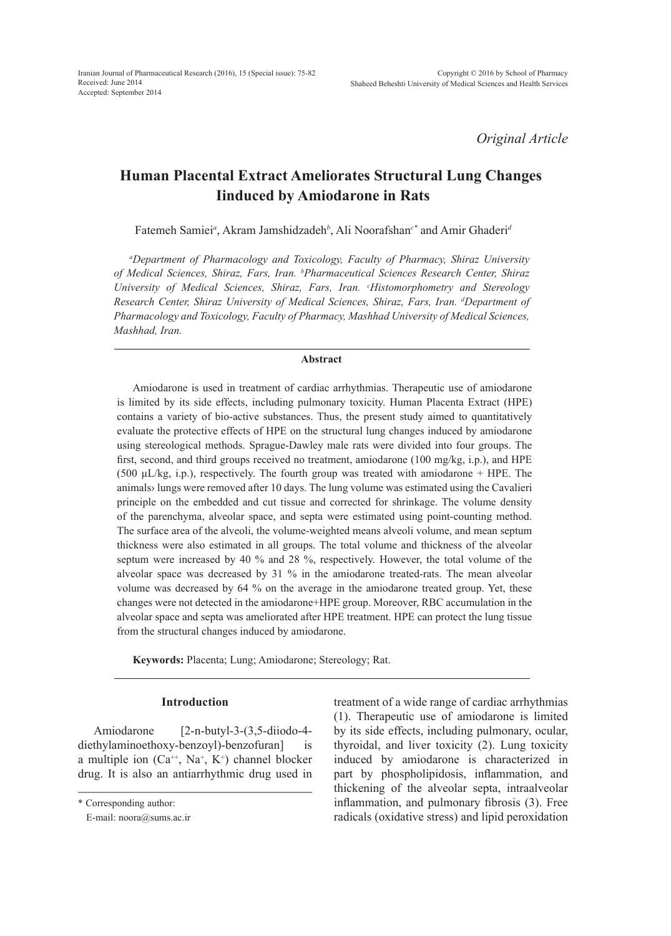*Original Article*

# **Human Placental Extract Ameliorates Structural Lung Changes Iinduced by Amiodarone in Rats**

Fatemeh Samiei*<sup>a</sup>* , Akram Jamshidzadeh*<sup>b</sup>* , Ali Noorafshan*c\** and Amir Ghaderi*<sup>d</sup>*

*a Department of Pharmacology and Toxicology, Faculty of Pharmacy, Shiraz University of Medical Sciences, Shiraz, Fars, Iran. b Pharmaceutical Sciences Research Center, Shiraz University of Medical Sciences, Shiraz, Fars, Iran. c Histomorphometry and Stereology Research Center, Shiraz University of Medical Sciences, Shiraz, Fars, Iran. d Department of Pharmacology and Toxicology, Faculty of Pharmacy, Mashhad University of Medical Sciences, Mashhad, Iran.*

# **Abstract**

Amiodarone is used in treatment of cardiac arrhythmias. Therapeutic use of amiodarone is limited by its side effects, including pulmonary toxicity. Human Placenta Extract (HPE) contains a variety of bio-active substances. Thus, the present study aimed to quantitatively evaluate the protective effects of HPE on the structural lung changes induced by amiodarone using stereological methods. Sprague-Dawley male rats were divided into four groups. The first, second, and third groups received no treatment, amiodarone (100 mg/kg, i.p.), and HPE (500  $\mu$ L/kg, i.p.), respectively. The fourth group was treated with amiodarone + HPE. The animals› lungs were removed after 10 days. The lung volume was estimated using the Cavalieri principle on the embedded and cut tissue and corrected for shrinkage. The volume density of the parenchyma, alveolar space, and septa were estimated using point-counting method. The surface area of the alveoli, the volume-weighted means alveoli volume, and mean septum thickness were also estimated in all groups. The total volume and thickness of the alveolar septum were increased by 40 % and 28 %, respectively. However, the total volume of the alveolar space was decreased by 31 % in the amiodarone treated-rats. The mean alveolar volume was decreased by 64 % on the average in the amiodarone treated group. Yet, these changes were not detected in the amiodarone+HPE group. Moreover, RBC accumulation in the alveolar space and septa was ameliorated after HPE treatment. HPE can protect the lung tissue from the structural changes induced by amiodarone.

**Keywords:** Placenta; Lung; Amiodarone; Stereology; Rat.

# **Introduction**

Amiodarone [2-n-butyl-3-(3,5-diiodo-4diethylaminoethoxy-benzoyl)-benzofuran] is a multiple ion  $(Ca^{++}, Na^+, K^+)$  channel blocker drug. It is also an antiarrhythmic drug used in

treatment of a wide range of cardiac arrhythmias (1). Therapeutic use of amiodarone is limited by its side effects, including pulmonary, ocular, thyroidal, and liver toxicity (2). Lung toxicity induced by amiodarone is characterized in part by phospholipidosis, inflammation, and thickening of the alveolar septa, intraalveolar inflammation, and pulmonary fibrosis (3). Free radicals (oxidative stress) and lipid peroxidation

<sup>\*</sup> Corresponding author:

E-mail: noora@sums.ac.ir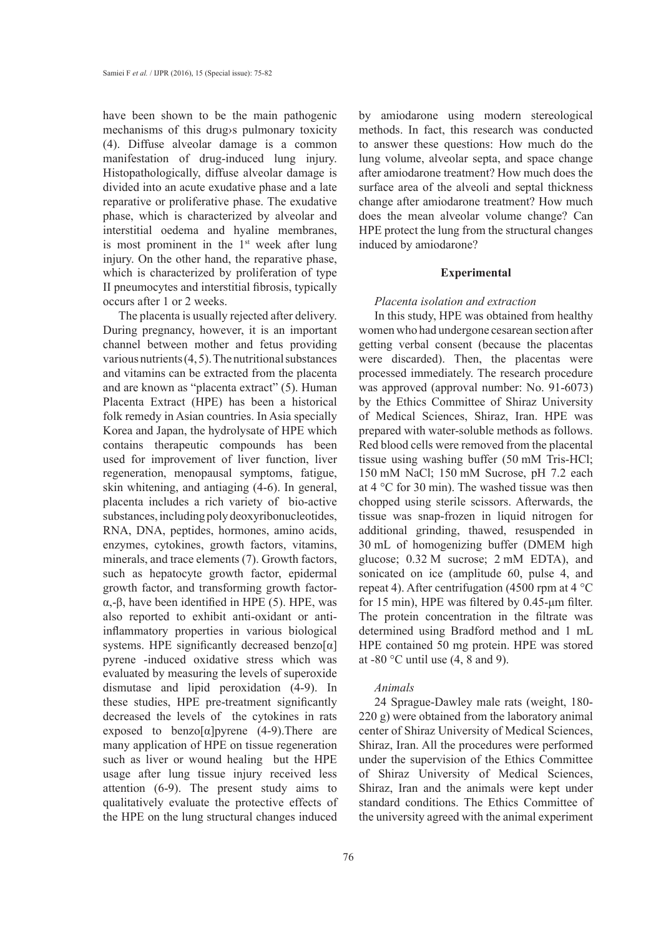have been shown to be the main pathogenic mechanisms of this drug›s pulmonary toxicity (4). Diffuse alveolar damage is a common manifestation of drug-induced lung injury. Histopathologically, diffuse alveolar damage is divided into an acute exudative phase and a late reparative or proliferative phase. The exudative phase, which is characterized by alveolar and interstitial oedema and hyaline membranes, is most prominent in the  $1<sup>st</sup>$  week after lung injury. On the other hand, the reparative phase, which is characterized by proliferation of type II pneumocytes and interstitial fibrosis, typically occurs after 1 or 2 weeks.

The placenta is usually rejected after delivery. During pregnancy, however, it is an important channel between mother and fetus providing various nutrients (4, 5). The nutritional substances and vitamins can be extracted from the placenta and are known as "placenta extract" (5). Human Placenta Extract (HPE) has been a historical folk remedy in Asian countries. In Asia specially Korea and Japan, the hydrolysate of HPE which contains therapeutic compounds has been used for improvement of liver function, liver regeneration, menopausal symptoms, fatigue, skin whitening, and antiaging (4-6). In general, placenta includes a rich variety of bio-active substances, including poly deoxyribonucleotides, RNA, DNA, peptides, hormones, amino acids, enzymes, cytokines, growth factors, vitamins, minerals, and trace elements (7). Growth factors, such as hepatocyte growth factor, epidermal growth factor, and transforming growth factorα,-β, have been identified in HPE (5). HPE, was also reported to exhibit anti-oxidant or antiinflammatory properties in various biological systems. HPE significantly decreased benzo[ $\alpha$ ] pyrene -induced oxidative stress which was evaluated by measuring the levels of superoxide dismutase and lipid peroxidation (4-9). In these studies, HPE pre-treatment significantly decreased the levels of the cytokines in rats exposed to benzo[ $\alpha$ ] pyrene (4-9). There are many application of HPE on tissue regeneration such as liver or wound healing but the HPE usage after lung tissue injury received less attention (6-9). The present study aims to qualitatively evaluate the protective effects of the HPE on the lung structural changes induced by amiodarone using modern stereological methods. In fact, this research was conducted to answer these questions: How much do the lung volume, alveolar septa, and space change after amiodarone treatment? How much does the surface area of the alveoli and septal thickness change after amiodarone treatment? How much does the mean alveolar volume change? Can HPE protect the lung from the structural changes induced by amiodarone?

## **Experimental**

#### *Placenta isolation and extraction*

In this study, HPE was obtained from healthy women who had undergone cesarean section after getting verbal consent (because the placentas were discarded). Then, the placentas were processed immediately. The research procedure was approved (approval number: No. 91-6073) by the Ethics Committee of Shiraz University of Medical Sciences, Shiraz, Iran. HPE was prepared with water-soluble methods as follows. Red blood cells were removed from the placental tissue using washing buffer (50 mM Tris-HCl; 150 mM NaCl; 150 mM Sucrose, pH 7.2 each at 4 °C for 30 min). The washed tissue was then chopped using sterile scissors. Afterwards, the tissue was snap-frozen in liquid nitrogen for additional grinding, thawed, resuspended in 30 mL of homogenizing buffer (DMEM high glucose; 0.32 M sucrose; 2 mM EDTA), and sonicated on ice (amplitude 60, pulse 4, and repeat 4). After centrifugation (4500 rpm at 4 °C for 15 min), HPE was filtered by 0.45-μm filter. The protein concentration in the filtrate was determined using Bradford method and 1 mL HPE contained 50 mg protein. HPE was stored at -80  $^{\circ}$ C until use (4, 8 and 9).

# *Animals*

24 Sprague-Dawley male rats (weight, 180- 220 g) were obtained from the laboratory animal center of Shiraz University of Medical Sciences, Shiraz, Iran. All the procedures were performed under the supervision of the Ethics Committee of Shiraz University of Medical Sciences, Shiraz, Iran and the animals were kept under standard conditions. The Ethics Committee of the university agreed with the animal experiment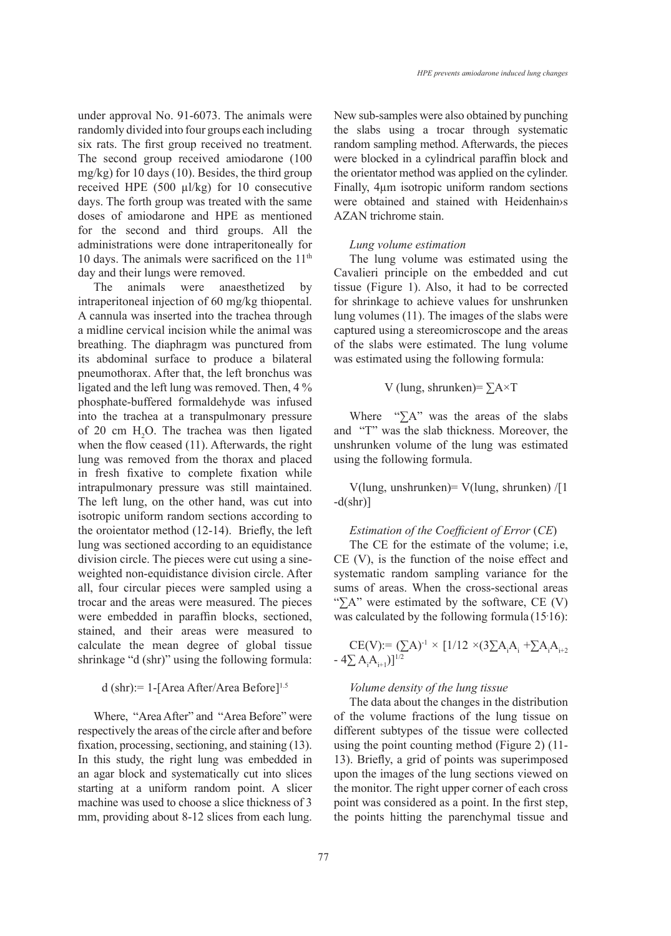under approval No. 91-6073. The animals were randomly divided into four groups each including six rats. The first group received no treatment. The second group received amiodarone (100 mg/kg) for 10 days (10). Besides, the third group received HPE (500 µl/kg) for 10 consecutive days. The forth group was treated with the same doses of amiodarone and HPE as mentioned for the second and third groups. All the administrations were done intraperitoneally for 10 days. The animals were sacrificed on the  $11<sup>th</sup>$ day and their lungs were removed.

The animals were anaesthetized by intraperitoneal injection of 60 mg/kg thiopental. A cannula was inserted into the trachea through a midline cervical incision while the animal was breathing. The diaphragm was punctured from its abdominal surface to produce a bilateral pneumothorax. After that, the left bronchus was ligated and the left lung was removed. Then, 4 % phosphate-buffered formaldehyde was infused into the trachea at a transpulmonary pressure of 20 cm  $H_2O$ . The trachea was then ligated when the flow ceased (11). Afterwards, the right lung was removed from the thorax and placed in fresh fixative to complete fixation while intrapulmonary pressure was still maintained. The left lung, on the other hand, was cut into isotropic uniform random sections according to the oroientator method (12-14). Briefly, the left lung was sectioned according to an equidistance division circle. The pieces were cut using a sineweighted non-equidistance division circle. After all, four circular pieces were sampled using a trocar and the areas were measured. The pieces were embedded in paraffin blocks, sectioned, stained, and their areas were measured to calculate the mean degree of global tissue shrinkage "d (shr)" using the following formula:

# d (shr): = 1-[Area After/Area Before]<sup>1.5</sup>

Where, "Area After" and "Area Before" were respectively the areas of the circle after and before fixation, processing, sectioning, and staining (13). In this study, the right lung was embedded in an agar block and systematically cut into slices starting at a uniform random point. A slicer machine was used to choose a slice thickness of 3 mm, providing about 8-12 slices from each lung. New sub-samples were also obtained by punching the slabs using a trocar through systematic random sampling method. Afterwards, the pieces were blocked in a cylindrical paraffin block and the orientator method was applied on the cylinder. Finally, 4µm isotropic uniform random sections were obtained and stained with Heidenhain›s AZAN trichrome stain.

#### *Lung volume estimation*

The lung volume was estimated using the Cavalieri principle on the embedded and cut tissue (Figure 1). Also, it had to be corrected for shrinkage to achieve values for unshrunken lung volumes (11). The images of the slabs were captured using a stereomicroscope and the areas of the slabs were estimated. The lung volume was estimated using the following formula:

## V (lung, shrunken)=  $\Sigma A \times T$

Where " $\sum A$ " was the areas of the slabs and "T" was the slab thickness. Moreover, the unshrunken volume of the lung was estimated using the following formula.

V(lung, unshrunken)= V(lung, shrunken) /[1  $-d(\text{shr})$ ]

# *Estimation of the Coefficient of Error* (*CE*)

The CE for the estimate of the volume; i.e, CE (V), is the function of the noise effect and systematic random sampling variance for the sums of areas. When the cross-sectional areas " $\sum A$ " were estimated by the software, CE (V) was calculated by the following formula  $(15.16)$ :

CE(V): = 
$$
(\sum A)^{-1} \times [1/12 \times (3\sum A_i A_i + \sum A_i A_{i+2})]^{1/2}
$$
  
-  $4\sum A_i A_{i+1}$ ) $1^{1/2}$ 

# *Volume density of the lung tissue*

The data about the changes in the distribution of the volume fractions of the lung tissue on different subtypes of the tissue were collected using the point counting method (Figure 2) (11- 13). Briefly, a grid of points was superimposed upon the images of the lung sections viewed on the monitor. The right upper corner of each cross point was considered as a point. In the first step, the points hitting the parenchymal tissue and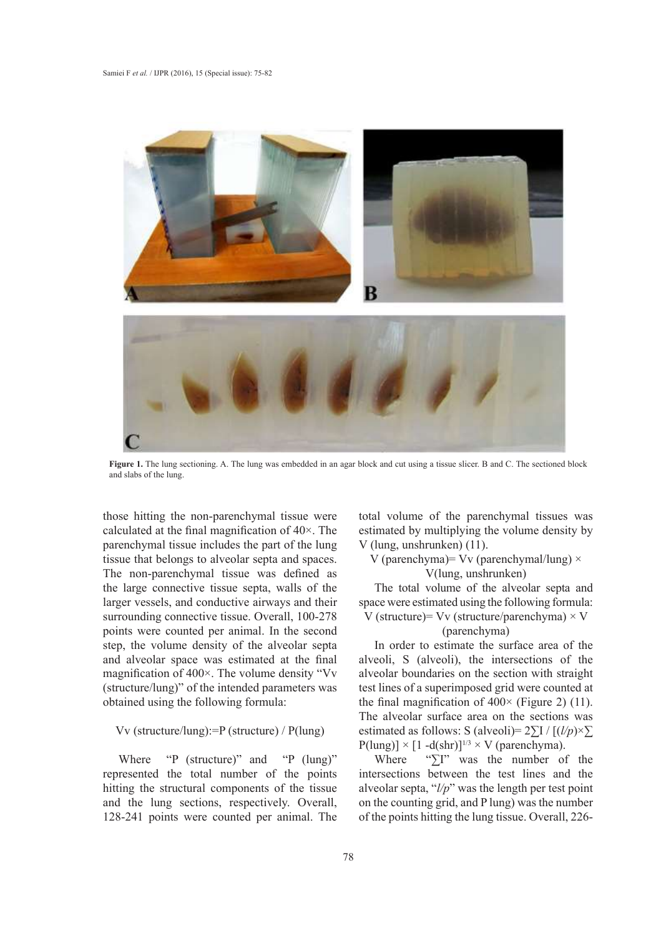

**Figure 1.** The lung sectioning. A. The lung was embedded in an agar block and cut using a tissue slicer. B and C. The sectioned block and slabs of the lung.

those hitting the non-parenchymal tissue were calculated at the final magnification of 40×. The parenchymal tissue includes the part of the lung tissue that belongs to alveolar septa and spaces. The non-parenchymal tissue was defined as the large connective tissue septa, walls of the larger vessels, and conductive airways and their surrounding connective tissue. Overall, 100-278 points were counted per animal. In the second step, the volume density of the alveolar septa and alveolar space was estimated at the final magnification of 400×. The volume density "Vv (structure/lung)" of the intended parameters was obtained using the following formula:

# Vv (structure/lung):=P (structure) / P(lung)

Where "P (structure)" and "P (lung)" represented the total number of the points hitting the structural components of the tissue and the lung sections, respectively. Overall, 128-241 points were counted per animal. The

total volume of the parenchymal tissues was estimated by multiplying the volume density by V (lung, unshrunken) (11).

V (parenchyma) = Vv (parenchymal/lung)  $\times$ V(lung, unshrunken)

The total volume of the alveolar septa and space were estimated using the following formula: V (structure)=  $Vv$  (structure/parenchyma)  $\times$  V

# (parenchyma)

In order to estimate the surface area of the alveoli, S (alveoli), the intersections of the alveolar boundaries on the section with straight test lines of a superimposed grid were counted at the final magnification of  $400 \times$  (Figure 2) (11). The alveolar surface area on the sections was estimated as follows: S (alveoli)=  $2\Sigma I / [(l/p) \times \Sigma]$  $P(lung) \times [1 - d(shr)]^{1/3} \times V$  (parenchyma).

Where "∑I" was the number of the intersections between the test lines and the alveolar septa, "*l/p*" was the length per test point on the counting grid, and P lung) was the number of the points hitting the lung tissue. Overall, 226-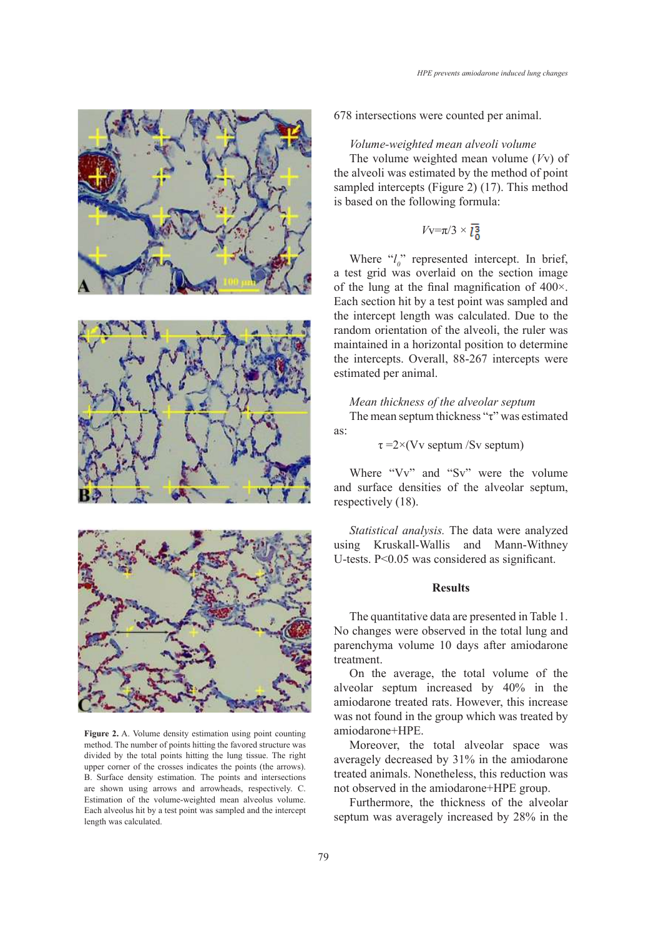





**Figure 2.** A. Volume density estimation using point counting method. The number of  $HPE$ . method. The number of points hitting the favored structure was **Moreover**, the t divided by the total points hitting the lung tissue. The right averagely decreased averagely decreased upper corner of the crosses indicates the points (the arrows). B. Surface density estimation. The points and intersections treated animals. None B. Surface density estimation. The points and intersections are shown using arrows and arrowheads, respectively. C. and observed in the arrows Estimation of the volume-weighted mean alveolus volume.  $\overline{F_{\text{U}}$ Each alveolus hit by a test point was sampled and the intercept length was calculated.

678 intersections were counted per animal.

## *Volume-weighted mean alveoli volume*

The volume weighted mean volume (*V*v) of the alveoli was estimated by the method of point sampled intercepts (Figure 2) (17). This method is based on the following formula:

$$
Vv = \pi/3 \times 13
$$

Where  $\partial_{\theta}^{b}$  represented intercept. In brief, a test grid was overlaid on the section image of the lung at the final magnification of 400×. Each section hit by a test point was sampled and the intercept length was calculated. Due to the random orientation of the alveoli, the ruler was maintained in a horizontal position to determine the intercepts. Overall, 88-267 intercepts were estimated per animal.

*Mean thickness of the alveolar septum* The mean septum thickness "τ" was estimated as:

 $\tau = 2 \times (Vv$  septum /Sv septum)

Where "Vv" and "Sv" were the volume and surface densities of the alveolar septum, respectively (18).

*Statistical analysis.* The data were analyzed using Kruskall-Wallis and Mann-Withney U-tests. P<0.05 was considered as significant.

# **Results**

The quantitative data are presented in Table 1. No changes were observed in the total lung and parenchyma volume 10 days after amiodarone treatment.

On the average, the total volume of the alveolar septum increased by 40% in the amiodarone treated rats. However, this increase was not found in the group which was treated by amiodarone+HPE.

Moreover, the total alveolar space was averagely decreased by 31% in the amiodarone treated animals. Nonetheless, this reduction was not observed in the amiodarone+HPE group.

Furthermore, the thickness of the alveolar septum was averagely increased by 28% in the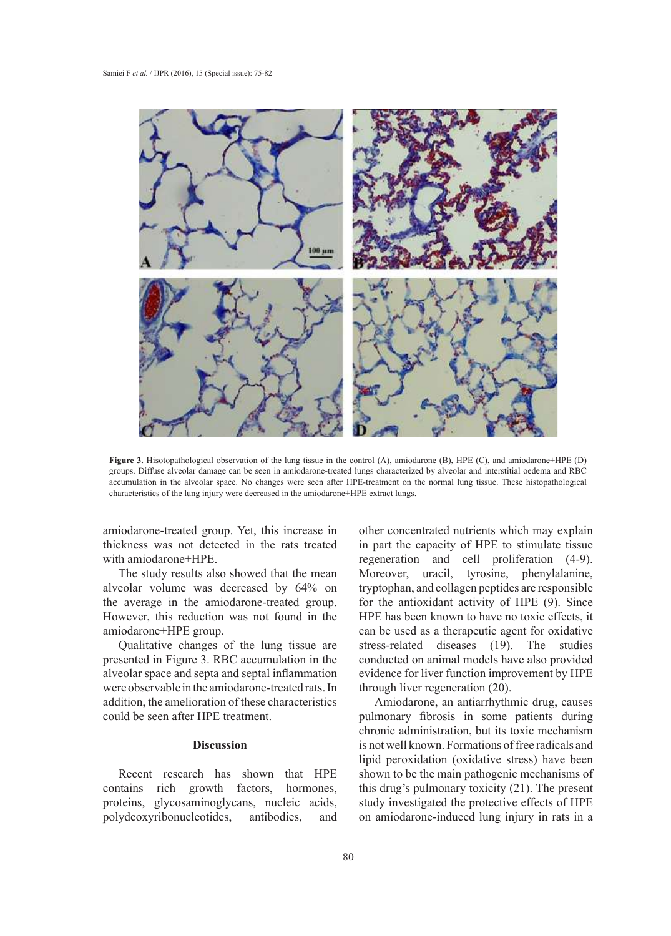

**Figure 3.** Hisotopathological observation of the lung tissue in the control (A), amiodarone (B), HPE (C), and amiodarone+HPE (D) groups. Diffuse alveolar damage can be seen in amiodarone-treated lungs characterized by alveolar and interstitial oedema and RBC accumulation in the alveolar space. No changes were seen after HPE-treatment on the normal lung tissue. These histopathological characteristics of the lung injury were decreased in the amiodarone+HPE extract lungs.

thickness was not detected in the rats treated with amiodarone+HPE.

The study results also showed that the mean alveolar volume was decreased by 64% on tryptophan, and collagen peptides are responsible the average in the amiodarone-treated group. However, this reduction was not found in the amiodarone+HPE group.

Qualitative changes of the lung tissue are presented in Figure 3. RBC accumulation in the con alveolar space and septa and septal inflammation were observable in the amiodarone-treated rats. In addition, the amelioration of these characteristics Amiodarone, an antiarrhythmic drug, causes could be seen after HPE treatment.

## **Discussion**

Recent research has shown that HPE contains rich growth factors, hormones, proteins, glycosaminoglycans, nucleic acids, polydeoxyribonucleotides, antibodies, and contains rich growth factors, hormones, this drug's pulmonary toxicity  $(21)$ . The present

amiodarone-treated group. Yet, this increase in other concentrated nutrients which may explain other concentrated nutrients which may explain thickness was not detected in the rats treated in part the capacity of HPE to stimulate tissue regeneration and cell proliferation (4-9).  $\frac{M}{R}$  The study results also showed that the mean Moreover, uracil, tyrosine, phenylalanine, tryptophan, and collagen peptides are responsible for the antioxidant activity of HPE (9). Since HPE has been known to have no toxic effects, it can be used as a therapeutic agent for oxidative stress-related diseases (19). The studies conducted on animal models have also provided evidence for liver function improvement by HPE through liver regeneration (20).

Amiodarone, an antiarrhythmic drug, causes could be seen after HPE treatment. The pulmonary fibrosis in some patients during chronic administration, but its toxic mechanism Discussion is not well known. Formations of free radicals and lipid peroxidation (oxidative stress) have been<br>
regeneration and cell production (4-9). Moreover, phenylalanine, phenylalanine, phenylalanine, phenylalanine, shown to be the main pathogenic mechanisms of study investigated the protective effects of HPE process, grycosaminogrycans, indeter actus, stady investigated the process of the has been known to have no to have no to have no to have no to have no to have no to have no to have no to have no to have no to have no to h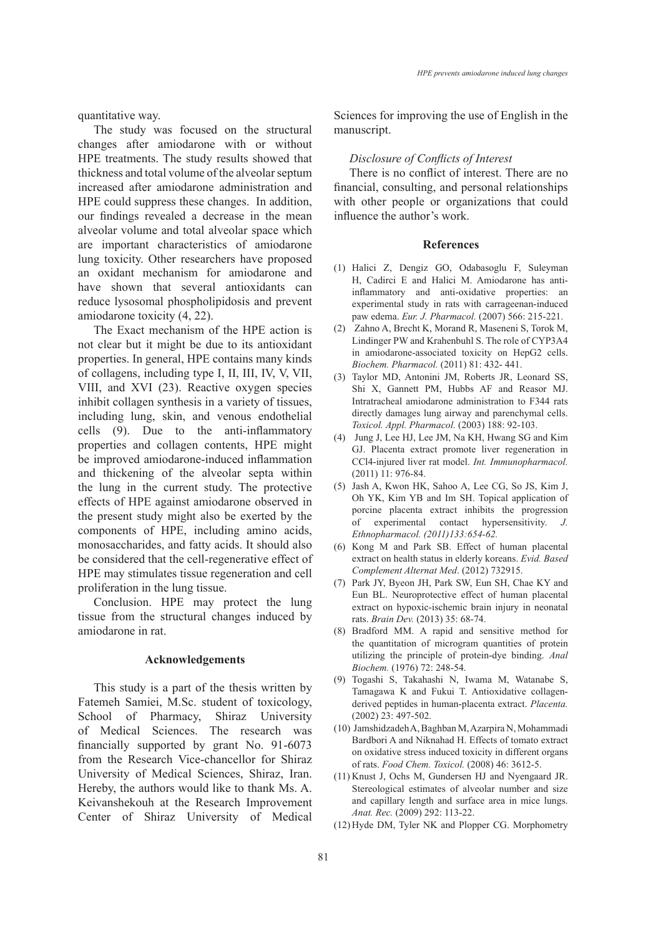*HPE prevents amiodarone induced lung changes*

quantitative way.

The study was focused on the structural changes after amiodarone with or without HPE treatments. The study results showed that thickness and total volume of the alveolar septum increased after amiodarone administration and HPE could suppress these changes. In addition, our findings revealed a decrease in the mean alveolar volume and total alveolar space which are important characteristics of amiodarone lung toxicity. Other researchers have proposed an oxidant mechanism for amiodarone and have shown that several antioxidants can reduce lysosomal phospholipidosis and prevent amiodarone toxicity (4, 22).

The Exact mechanism of the HPE action is not clear but it might be due to its antioxidant properties. In general, HPE contains many kinds of collagens, including type I, II, III, IV, V, VII, VIII, and XVI (23). Reactive oxygen species inhibit collagen synthesis in a variety of tissues, including lung, skin, and venous endothelial cells (9). Due to the anti-inflammatory properties and collagen contents, HPE might be improved amiodarone-induced inflammation and thickening of the alveolar septa within the lung in the current study. The protective effects of HPE against amiodarone observed in the present study might also be exerted by the components of HPE, including amino acids, monosaccharides, and fatty acids. It should also be considered that the cell-regenerative effect of HPE may stimulates tissue regeneration and cell proliferation in the lung tissue.

Conclusion. HPE may protect the lung tissue from the structural changes induced by amiodarone in rat.

## **Acknowledgements**

This study is a part of the thesis written by Fatemeh Samiei, M.Sc. student of toxicology, School of Pharmacy, Shiraz University of Medical Sciences. The research was financially supported by grant No. 91-6073 from the Research Vice-chancellor for Shiraz University of Medical Sciences, Shiraz, Iran. Hereby, the authors would like to thank Ms. A. Keivanshekouh at the Research Improvement Center of Shiraz University of Medical Sciences for improving the use of English in the manuscript.

#### *Disclosure of Conflicts of Interest*

There is no conflict of interest. There are no financial, consulting, and personal relationships with other people or organizations that could influence the author's work.

# **References**

- Halici Z, Dengiz GO, Odabasoglu F, Suleyman (1) H, Cadirci E and Halici M. Amiodarone has antiinflammatory and anti-oxidative properties: an experimental study in rats with carrageenan-induced paw edema. *Eur. J. Pharmacol.* (2007) 566: 215-221.
- (2) Zahno A, Brecht K, Morand R, Maseneni S, Torok M, Lindinger PW and Krahenbuhl S. The role of CYP3A4 in amiodarone-associated toxicity on HepG2 cells. *Biochem. Pharmacol.* (2011) 81: 432- 441.
- Taylor MD, Antonini JM, Roberts JR, Leonard SS, (3) Shi X, Gannett PM, Hubbs AF and Reasor MJ. Intratracheal amiodarone administration to F344 rats directly damages lung airway and parenchymal cells. *Toxicol. Appl. Pharmacol.* (2003) 188: 92-103.
- (4) Jung J, Lee HJ, Lee JM, Na KH, Hwang SG and Kim GJ. Placenta extract promote liver regeneration in CCl4-injured liver rat model. *Int. Immunopharmacol.* (2011) 11: 976-84.
- (5) Jash A, Kwon HK, Sahoo A, Lee CG, So JS, Kim J, Oh YK, Kim YB and Im SH. Topical application of porcine placenta extract inhibits the progression of experimental contact hypersensitivity. *J. Ethnopharmacol. (2011)133:654-62.*
- (6) Kong M and Park SB. Effect of human placental extract on health status in elderly koreans. *Evid. Based Complement Alternat Med*. (2012) 732915.
- Park JY, Byeon JH, Park SW, Eun SH, Chae KY and (7) Eun BL. Neuroprotective effect of human placental extract on hypoxic-ischemic brain injury in neonatal rats. *Brain Dev.* (2013) 35: 68-74.
- Bradford MM. A rapid and sensitive method for (8) the quantitation of microgram quantities of protein utilizing the principle of protein-dye binding. *Anal Biochem.* (1976) 72: 248-54.
- Togashi S, Takahashi N, Iwama M, Watanabe S, (9) Tamagawa K and Fukui T. Antioxidative collagenderived peptides in human-placenta extract. *Placenta.* (2002) 23: 497-502.
- (10) Jamshidzadeh A, Baghban M, Azarpira N, Mohammadi Bardbori A and Niknahad H. Effects of tomato extract on oxidative stress induced toxicity in different organs of rats. *Food Chem. Toxicol.* (2008) 46: 3612-5.
- (11) Knust J, Ochs M, Gundersen HJ and Nyengaard JR. Stereological estimates of alveolar number and size and capillary length and surface area in mice lungs. *Anat. Rec.* (2009) 292: 113-22.
- (12) Hyde DM, Tyler NK and Plopper CG. Morphometry